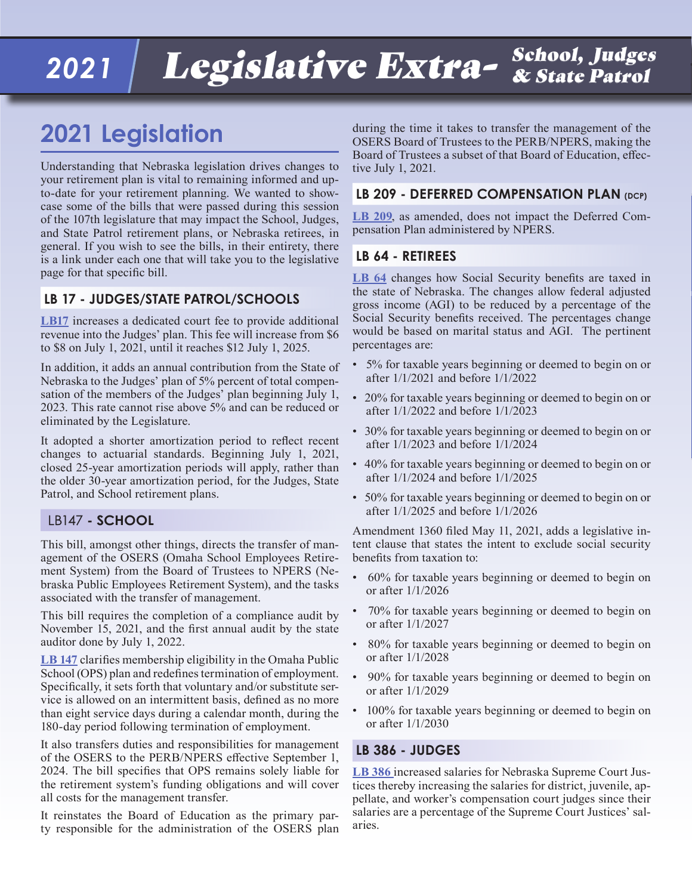#### *2021* Legislative Extra- School, Judges & State Patrol

## **2021 Legislation**

Understanding that Nebraska legislation drives changes to your retirement plan is vital to remaining informed and upto-date for your retirement planning. We wanted to showcase some of the bills that were passed during this session of the 107th legislature that may impact the School, Judges, and State Patrol retirement plans, or Nebraska retirees, in general. If you wish to see the bills, in their entirety, there is a link under each one that will take you to the legislative page for that specific bill.

#### **LB 17 - JUDGES/STATE PATROL/SCHOOLS**

**[LB17](https://nebraskalegislature.gov/bills/view_bill.php?DocumentID=43892)** increases a dedicated court fee to provide additional revenue into the Judges' plan. This fee will increase from \$6 to \$8 on July 1, 2021, until it reaches \$12 July 1, 2025.

In addition, it adds an annual contribution from the State of Nebraska to the Judges' plan of 5% percent of total compensation of the members of the Judges' plan beginning July 1, 2023. This rate cannot rise above 5% and can be reduced or eliminated by the Legislature.

It adopted a shorter amortization period to reflect recent changes to actuarial standards. Beginning July 1, 2021, closed 25-year amortization periods will apply, rather than the older 30-year amortization period, for the Judges, State Patrol, and School retirement plans.

#### LB147 **- SCHOOL**

This bill, amongst other things, directs the transfer of management of the OSERS (Omaha School Employees Retirement System) from the Board of Trustees to NPERS (Nebraska Public Employees Retirement System), and the tasks associated with the transfer of management.

This bill requires the completion of a compliance audit by November 15, 2021, and the first annual audit by the state auditor done by July 1, 2022.

**[LB 147](https://nebraskalegislature.gov/bills/view_bill.php?DocumentID=43795)** clarifies membership eligibility in the Omaha Public School (OPS) plan and redefines termination of employment. Specifically, it sets forth that voluntary and/or substitute service is allowed on an intermittent basis, defined as no more than eight service days during a calendar month, during the 180-day period following termination of employment.

It also transfers duties and responsibilities for management of the OSERS to the PERB/NPERS effective September 1, 2024. The bill specifies that OPS remains solely liable for the retirement system's funding obligations and will cover all costs for the management transfer.

It reinstates the Board of Education as the primary party responsible for the administration of the OSERS plan during the time it takes to transfer the management of the OSERS Board of Trustees to the PERB/NPERS, making the Board of Trustees a subset of that Board of Education, effective July 1, 2021.

#### LB 209 - DEFERRED COMPENSATION PLAN (DCP)

**[LB 209](https://nebraskalegislature.gov/bills/view_bill.php?DocumentID=44017)**, as amended, does not impact the Deferred Compensation Plan administered by NPERS.

#### **LB 64 - RETIREES**

**[LB 64](https://nebraskalegislature.gov/bills/view_bill.php?DocumentID=43651)** changes how Social Security benefits are taxed in the state of Nebraska. The changes allow federal adjusted gross income (AGI) to be reduced by a percentage of the Social Security benefits received. The percentages change would be based on marital status and AGI. The pertinent percentages are:

- 5% for taxable years beginning or deemed to begin on or after 1/1/2021 and before 1/1/2022
- 20% for taxable years beginning or deemed to begin on or after 1/1/2022 and before 1/1/2023
- 30% for taxable years beginning or deemed to begin on or after 1/1/2023 and before 1/1/2024
- 40% for taxable years beginning or deemed to begin on or after 1/1/2024 and before 1/1/2025
- 50% for taxable years beginning or deemed to begin on or after 1/1/2025 and before 1/1/2026

Amendment 1360 filed May 11, 2021, adds a legislative intent clause that states the intent to exclude social security benefits from taxation to:

- 60% for taxable years beginning or deemed to begin on or after 1/1/2026
- 70% for taxable years beginning or deemed to begin on or after 1/1/2027
- 80% for taxable years beginning or deemed to begin on or after 1/1/2028
- 90% for taxable years beginning or deemed to begin on or after 1/1/2029
- 100% for taxable years beginning or deemed to begin on or after 1/1/2030

#### **LB 386 - JUDGES**

**[LB 386](https://nebraskalegislature.gov/bills/view_bill.php?DocumentID=43774)** increased salaries for Nebraska Supreme Court Justices thereby increasing the salaries for district, juvenile, appellate, and worker's compensation court judges since their salaries are a percentage of the Supreme Court Justices' salaries.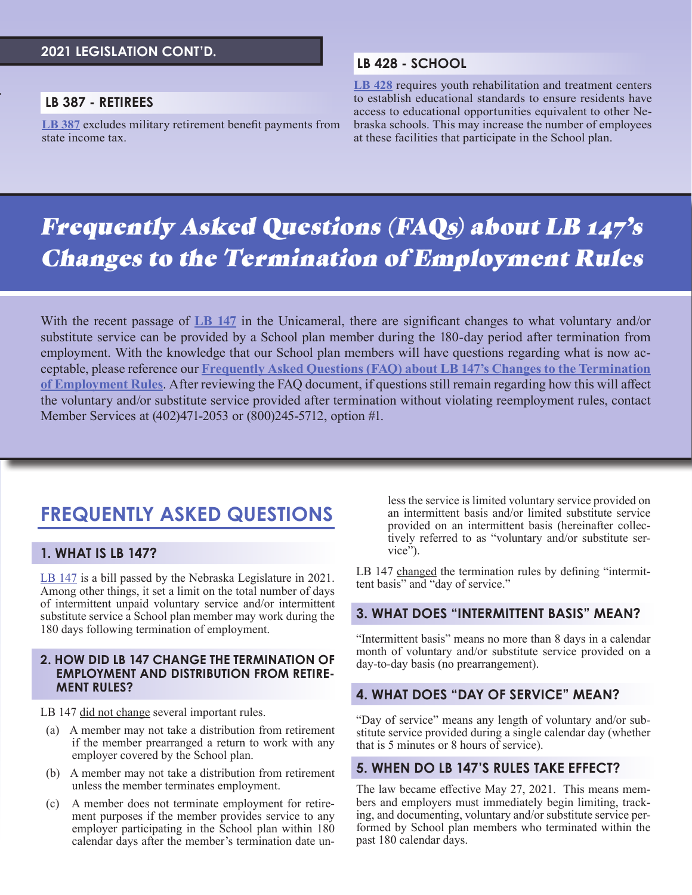#### **2021 LEGISLATION CONT'D.**

#### **LB 387 - RETIREES**

**[LB 387](https://nebraskalegislature.gov/bills/view_bill.php?DocumentID=43739)** excludes military retirement benefit payments from state income tax.

#### **LB 428 - SCHOOL**

**[LB 428](https://nebraskalegislature.gov/bills/view_bill.php?DocumentID=44273)** requires youth rehabilitation and treatment centers to establish educational standards to ensure residents have access to educational opportunities equivalent to other Nebraska schools. This may increase the number of employees at these facilities that participate in the School plan.

## Frequently Asked Questions (FAQs) about LB 147's Changes to the Termination of Employment Rules

With the recent passage of **[LB 147](https://gcc02.safelinks.protection.outlook.com/?url=https%3A%2F%2Fnebraskalegislature.gov%2Fbills%2Fview_bill.php%3FDocumentID%3D43795&data=04%7C01%7Canna.hayden-roy%40nebraska.gov%7C6c81a562973f4ea835eb08d9310ef14a%7C043207dfe6894bf6902001038f11f0b1%7C0%7C0%7C637594762503907360%7CUnknown%7CTWFpbGZsb3d8eyJWIjoiMC4wLjAwMDAiLCJQIjoiV2luMzIiLCJBTiI6Ik1haWwiLCJXVCI6Mn0%3D%7C1000&sdata=%2Bp4xVjoRyAXkqeluYNDgsi2LUzGvYvD%2B7b3vNjXpmlE%3D&reserved=0)** in the Unicameral, there are significant changes to what voluntary and/or substitute service can be provided by a School plan member during the 180-day period after termination from employment. With the knowledge that our School plan members will have questions regarding what is now acceptable, please reference our **[Frequently Asked Questions \(FAQ\) about LB 147's Changes to the Termination](https://npers.ne.gov/SelfService/public/otherInformation/legislation/LB147FAQ.pdf)  [of Employment Rules](https://npers.ne.gov/SelfService/public/otherInformation/legislation/LB147FAQ.pdf)**. After reviewing the FAQ document, if questions still remain regarding how this will affect the voluntary and/or substitute service provided after termination without violating reemployment rules, contact Member Services at (402)471-2053 or (800)245-5712, option #1.

### **FREQUENTLY ASKED QUESTIONS**

#### **1. WHAT IS LB 147?**

[LB 147](https://nebraskalegislature.gov/bills/view_bill.php?DocumentID=43795) is a bill passed by the Nebraska Legislature in 2021. Among other things, it set a limit on the total number of days of intermittent unpaid voluntary service and/or intermittent substitute service a School plan member may work during the 180 days following termination of employment.

#### **2. HOW DID LB 147 CHANGE THE TERMINATION OF EMPLOYMENT AND DISTRIBUTION FROM RETIRE-MENT RULES?**

LB 147 did not change several important rules.

- (a) A member may not take a distribution from retirement if the member prearranged a return to work with any employer covered by the School plan.
- (b) A member may not take a distribution from retirement unless the member terminates employment.
- (c) A member does not terminate employment for retirement purposes if the member provides service to any employer participating in the School plan within 180 calendar days after the member's termination date un-

less the service is limited voluntary service provided on an intermittent basis and/or limited substitute service provided on an intermittent basis (hereinafter collectively referred to as "voluntary and/or substitute service").

LB 147 changed the termination rules by defining "intermittent basis" and "day of service."

#### **3. WHAT DOES "INTERMITTENT BASIS" MEAN?**

"Intermittent basis" means no more than 8 days in a calendar month of voluntary and/or substitute service provided on a day-to-day basis (no prearrangement).

#### **4. WHAT DOES "DAY OF SERVICE" MEAN?**

"Day of service" means any length of voluntary and/or substitute service provided during a single calendar day (whether that is 5 minutes or 8 hours of service).

#### **5. WHEN DO LB 147'S RULES TAKE EFFECT?**

The law became effective May 27, 2021. This means members and employers must immediately begin limiting, tracking, and documenting, voluntary and/or substitute service performed by School plan members who terminated within the past 180 calendar days.